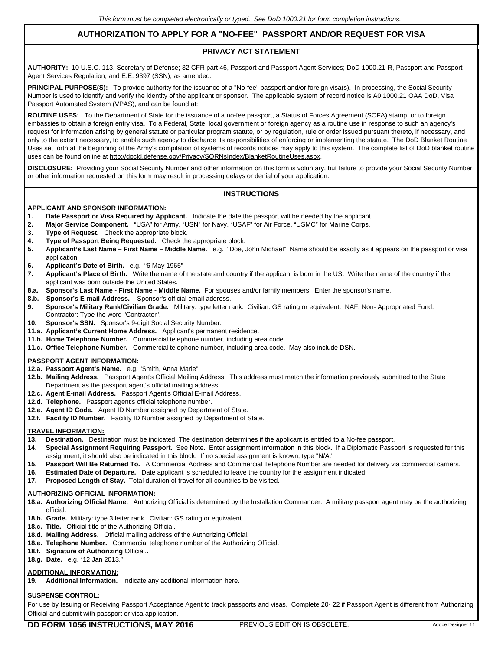# **AUTHORIZATION TO APPLY FOR A "NO-FEE" PASSPORT AND/OR REQUEST FOR VISA**

## **PRIVACY ACT STATEMENT**

**AUTHORITY:** 10 U.S.C. 113, Secretary of Defense; 32 CFR part 46, Passport and Passport Agent Services; DoD 1000.21-R, Passport and Passport Agent Services Regulation; and E.E. 9397 (SSN), as amended.

PRINCIPAL PURPOSE(S): To provide authority for the issuance of a "No-fee" passport and/or foreign visa(s). In processing, the Social Security Number is used to identify and verify the identity of the applicant or sponsor. The applicable system of record notice is A0 1000.21 OAA DoD, Visa Passport Automated System (VPAS), and can be found at:

**ROUTINE USES:** To the Department of State for the issuance of a no-fee passport, a Status of Forces Agreement (SOFA) stamp, or to foreign embassies to obtain a foreign entry visa. To a Federal, State, local government or foreign agency as a routine use in response to such an agency's request for information arising by general statute or particular program statute, or by regulation, rule or order issued pursuant thereto, if necessary, and only to the extent necessary, to enable such agency to discharge its responsibilities of enforcing or implementing the statute. The DoD Blanket Routine Uses set forth at the beginning of the Army's compilation of systems of records notices may apply to this system. The complete list of DoD blanket routine uses can be found online at http://dpcld.defense.gov/Privacy/SORNsIndex/BlanketRoutineUses.aspx.

**DISCLOSURE:** Providing your Social Security Number and other information on this form is voluntary, but failure to provide your Social Security Number or other information requested on this form may result in processing delays or denial of your application.

### **INSTRUCTIONS**

#### **APPLICANT AND SPONSOR INFORMATION:**

- **1. Date Passport or Visa Required by Applicant.** Indicate the date the passport will be needed by the applicant.
- **2. Major Service Component.** "USA" for Army, "USN" for Navy, "USAF" for Air Force, "USMC" for Marine Corps.
- **3. Type of Request.** Check the appropriate block.
- **4. Type of Passport Being Requested.** Check the appropriate block.
- **5. Applicant's Last Name First Name Middle Name.** e.g. "Doe, John Michael". Name should be exactly as it appears on the passport or visa application.<br>**Annicant's**
- **6. Applicant's Date of Birth.** e.g. "6 May 1965"
- **7. Applicant's Place of Birth.** Write the name of the state and country if the applicant is born in the US. Write the name of the country if the applicant was born outside the United States.
- **8.a. Sponsor's Last Name First Name Middle Name.** For spouses and/or family members. Enter the sponsor's name.
- **8.b. Sponsor's E-mail Address.** Sponsor's official email address.
- **9. Sponsor's Military Rank/Civilian Grade.** Military: type letter rank. Civilian: GS rating or equivalent. NAF: Non- Appropriated Fund. Contractor: Type the word "Contractor".
- **10. Sponsor's SSN.** Sponsor's 9-digit Social Security Number.
- **11.a. Applicant's Current Home Address.** Applicant's permanent residence.
- **11.b. Home Telephone Number.** Commercial telephone number, including area code.
- **11.c. Office Telephone Number.** Commercial telephone number, including area code. May also include DSN.

#### **PASSPORT AGENT INFORMATION:**

- **12.a. Passport Agent's Name.** e.g. "Smith, Anna Marie"
- **12.b. Mailing Address.** Passport Agent's Official Mailing Address. This address must match the information previously submitted to the State Department as the passport agent's official mailing address.
- **12.c. Agent E-mail Address.** Passport Agent's Official E-mail Address.
- **12.d. Telephone.** Passport agent's official telephone number.
- **12.e. Agent ID Code.** Agent ID Number assigned by Department of State.
- **12.f. Facility ID Number.** Facility ID Number assigned by Department of State.

#### **TRAVEL INFORMATION:**

- **13. Destination.** Destination must be indicated. The destination determines if the applicant is entitled to a No-fee passport.
- **14. Special Assignment Requiring Passport.** See Note. Enter assignment information in this block. If a Diplomatic Passport is requested for this assignment, it should also be indicated in this block. If no special assignment is known, type "N/A."<br>15. Passport Will Be Returned To. A Commercial Address and Commercial Telephone Number are
- **15. Passport Will Be Returned To.** A Commercial Address and Commercial Telephone Number are needed for delivery via commercial carriers.
- **16. Estimated Date of Departure.** Date applicant is scheduled to leave the country for the assignment indicated.
- **17. Proposed Length of Stay.** Total duration of travel for all countries to be visited.

#### **AUTHORIZING OFFICIAL INFORMATION:**

- **18.a. Authorizing Official Name.** Authorizing Official is determined by the Installation Commander. A military passport agent may be the authorizing official.
- **18.b. Grade.** Military: type 3 letter rank. Civilian: GS rating or equivalent.
- **18.c. Title.** Official title of the Authorizing Official.
- **18.d. Mailing Address.** Official mailing address of the Authorizing Official.
- **18.e. Telephone Number.** Commercial telephone number of the Authorizing Official.
- **18.f. Signature of Authorizing** Official.**.**
- **18.g. Date.** e.g. "12 Jan 2013."

### **ADDITIONAL INFORMATION:**

**19. Additional Information.** Indicate any additional information here.

# **SUSPENSE CONTROL:**

For use by Issuing or Receiving Passport Acceptance Agent to track passports and visas. Complete 20-22 if Passport Agent is different from Authorizing Official and submit with passport or visa application.